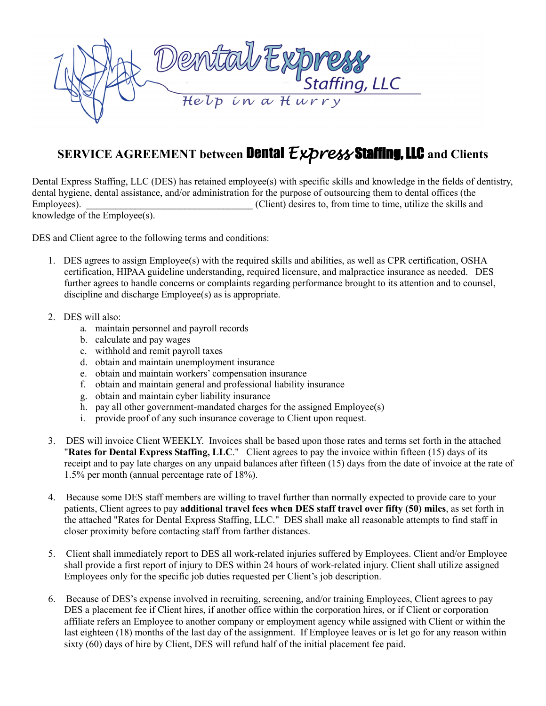

## **SERVICE AGREEMENT between** Dental *Express* Staffing, LLC **and Clients**

Dental Express Staffing, LLC (DES) has retained employee(s) with specific skills and knowledge in the fields of dentistry, dental hygiene, dental assistance, and/or administration for the purpose of outsourcing them to dental offices (the Employees).  $\Box$  [Client) desires to, from time to time, utilize the skills and knowledge of the Employee(s).

DES and Client agree to the following terms and conditions:

- 1. DES agrees to assign Employee(s) with the required skills and abilities, as well as CPR certification, OSHA certification, HIPAA guideline understanding, required licensure, and malpractice insurance as needed. DES further agrees to handle concerns or complaints regarding performance brought to its attention and to counsel, discipline and discharge Employee(s) as is appropriate.
- 2. DES will also:
	- a. maintain personnel and payroll records
	- b. calculate and pay wages
	- c. withhold and remit payroll taxes
	- d. obtain and maintain unemployment insurance
	- e. obtain and maintain workers' compensation insurance
	- f. obtain and maintain general and professional liability insurance
	- g. obtain and maintain cyber liability insurance
	- h. pay all other government-mandated charges for the assigned Employee(s)
	- i. provide proof of any such insurance coverage to Client upon request.
- 3. DES will invoice Client WEEKLY. Invoices shall be based upon those rates and terms set forth in the attached "**Rates for Dental Express Staffing, LLC**." Client agrees to pay the invoice within fifteen (15) days of its receipt and to pay late charges on any unpaid balances after fifteen (15) days from the date of invoice at the rate of 1.5% per month (annual percentage rate of 18%).
- 4. Because some DES staff members are willing to travel further than normally expected to provide care to your patients, Client agrees to pay **additional travel fees when DES staff travel over fifty (50) miles**, as set forth in the attached "Rates for Dental Express Staffing, LLC." DES shall make all reasonable attempts to find staff in closer proximity before contacting staff from farther distances.
- 5. Client shall immediately report to DES all work-related injuries suffered by Employees. Client and/or Employee shall provide a first report of injury to DES within 24 hours of work-related injury. Client shall utilize assigned Employees only for the specific job duties requested per Client's job description.
- 6. Because of DES's expense involved in recruiting, screening, and/or training Employees, Client agrees to pay DES a placement fee if Client hires, if another office within the corporation hires, or if Client or corporation affiliate refers an Employee to another company or employment agency while assigned with Client or within the last eighteen (18) months of the last day of the assignment. If Employee leaves or is let go for any reason within sixty (60) days of hire by Client, DES will refund half of the initial placement fee paid.